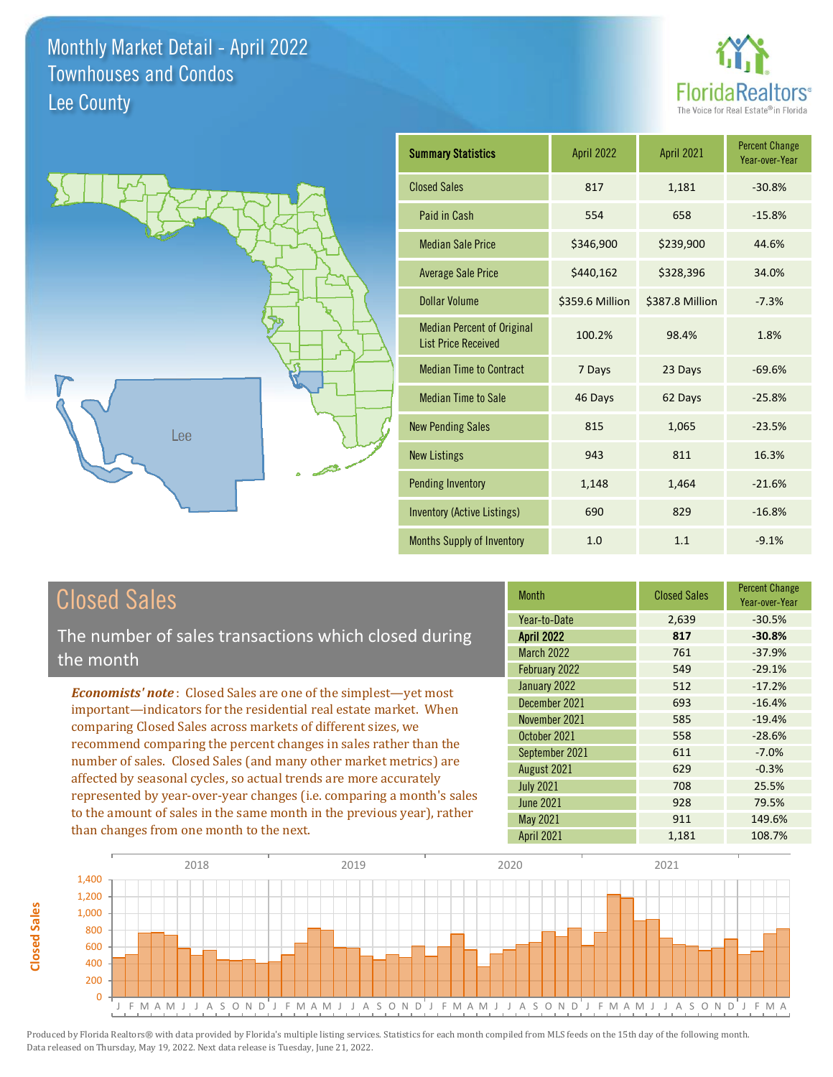



| <b>Summary Statistics</b>                                       | <b>April 2022</b> | April 2021      | <b>Percent Change</b><br>Year-over-Year |
|-----------------------------------------------------------------|-------------------|-----------------|-----------------------------------------|
| <b>Closed Sales</b>                                             | 817               | 1,181           | $-30.8%$                                |
| Paid in Cash                                                    | 554               | 658             | $-15.8%$                                |
| <b>Median Sale Price</b>                                        | \$346,900         | \$239,900       | 44.6%                                   |
| <b>Average Sale Price</b>                                       | \$440,162         | \$328,396       | 34.0%                                   |
| Dollar Volume                                                   | \$359.6 Million   | \$387.8 Million | $-7.3%$                                 |
| <b>Median Percent of Original</b><br><b>List Price Received</b> | 100.2%            | 98.4%           | 1.8%                                    |
| <b>Median Time to Contract</b>                                  | 7 Days            | 23 Days         | $-69.6%$                                |
| <b>Median Time to Sale</b>                                      | 46 Days           | 62 Days         | $-25.8%$                                |
| <b>New Pending Sales</b>                                        | 815               | 1,065           | $-23.5%$                                |
| <b>New Listings</b>                                             | 943               | 811             | 16.3%                                   |
| <b>Pending Inventory</b>                                        | 1,148             | 1,464           | $-21.6%$                                |
| Inventory (Active Listings)                                     | 690               | 829             | $-16.8%$                                |
| <b>Months Supply of Inventory</b>                               | 1.0               | 1.1             | $-9.1%$                                 |

## Closed Sales

The number of sales transactions which closed during the month

*Economists' note* : Closed Sales are one of the simplest—yet most important—indicators for the residential real estate market. When comparing Closed Sales across markets of different sizes, we recommend comparing the percent changes in sales rather than the number of sales. Closed Sales (and many other market metrics) are affected by seasonal cycles, so actual trends are more accurately represented by year-over-year changes (i.e. comparing a month's sales to the amount of sales in the same month in the previous year), rather than changes from one month to the next.

| <b>Month</b>      | <b>Closed Sales</b> | <b>Percent Change</b><br>Year-over-Year |
|-------------------|---------------------|-----------------------------------------|
| Year-to-Date      | 2,639               | $-30.5%$                                |
| <b>April 2022</b> | 817                 | $-30.8%$                                |
| <b>March 2022</b> | 761                 | $-37.9%$                                |
| February 2022     | 549                 | $-29.1%$                                |
| January 2022      | 512                 | $-17.2%$                                |
| December 2021     | 693                 | $-16.4%$                                |
| November 2021     | 585                 | $-19.4%$                                |
| October 2021      | 558                 | $-28.6%$                                |
| September 2021    | 611                 | $-7.0%$                                 |
| August 2021       | 629                 | $-0.3%$                                 |
| <b>July 2021</b>  | 708                 | 25.5%                                   |
| <b>June 2021</b>  | 928                 | 79.5%                                   |
| May 2021          | 911                 | 149.6%                                  |
| April 2021        | 1,181               | 108.7%                                  |

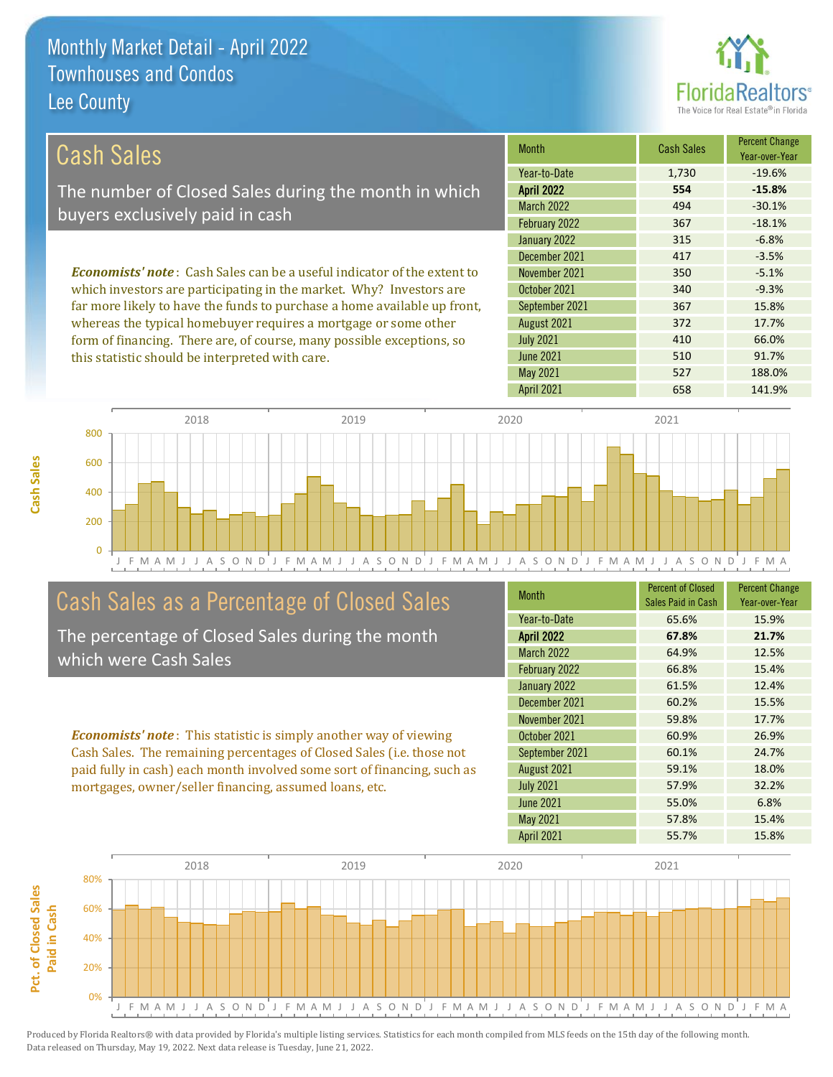

510 91.7%

410 66.0%

| Cash Sales                                                                     | <b>Month</b>      | <b>Cash Sales</b> | <b>Percent Change</b><br>Year-over-Year |
|--------------------------------------------------------------------------------|-------------------|-------------------|-----------------------------------------|
|                                                                                | Year-to-Date      | 1,730             | $-19.6%$                                |
| The number of Closed Sales during the month in which                           | <b>April 2022</b> | 554               | $-15.8%$                                |
| buyers exclusively paid in cash                                                | <b>March 2022</b> | 494               | $-30.1%$                                |
|                                                                                | February 2022     | 367               | $-18.1%$                                |
|                                                                                | January 2022      | 315               | $-6.8%$                                 |
|                                                                                | December 2021     | 417               | $-3.5%$                                 |
| <b>Economists' note:</b> Cash Sales can be a useful indicator of the extent to | November 2021     | 350               | $-5.1%$                                 |
| which investors are participating in the market. Why? Investors are            | October 2021      | 340               | $-9.3%$                                 |
| far more likely to have the funds to purchase a home available up front,       | September 2021    | 367               | 15.8%                                   |
| whereas the typical homebuyer requires a mortgage or some other                | August 2021       | 372               | 17.7%                                   |

July 2021

June 2021



## Cash Sales as a Percentage of Closed Sales

form of financing. There are, of course, many possible exceptions, so

this statistic should be interpreted with care.

The percentage of Closed Sales during the month which were Cash Sales

*Economists' note* : This statistic is simply another way of viewing Cash Sales. The remaining percentages of Closed Sales (i.e. those not paid fully in cash) each month involved some sort of financing, such as mortgages, owner/seller financing, assumed loans, etc.

| <b>Month</b>      | <b>Percent of Closed</b><br>Sales Paid in Cash | <b>Percent Change</b><br>Year-over-Year |
|-------------------|------------------------------------------------|-----------------------------------------|
| Year-to-Date      | 65.6%                                          | 15.9%                                   |
| <b>April 2022</b> | 67.8%                                          | 21.7%                                   |
| <b>March 2022</b> | 64.9%                                          | 12.5%                                   |
| February 2022     | 66.8%                                          | 15.4%                                   |
| January 2022      | 61.5%                                          | 12.4%                                   |
| December 2021     | 60.2%                                          | 15.5%                                   |
| November 2021     | 59.8%                                          | 17.7%                                   |
| October 2021      | 60.9%                                          | 26.9%                                   |
| September 2021    | 60.1%                                          | 24.7%                                   |
| August 2021       | 59.1%                                          | 18.0%                                   |
| <b>July 2021</b>  | 57.9%                                          | 32.2%                                   |
| <b>June 2021</b>  | 55.0%                                          | 6.8%                                    |
| May 2021          | 57.8%                                          | 15.4%                                   |
| April 2021        | 55.7%                                          | 15.8%                                   |

May 2021 527 527 188.0%

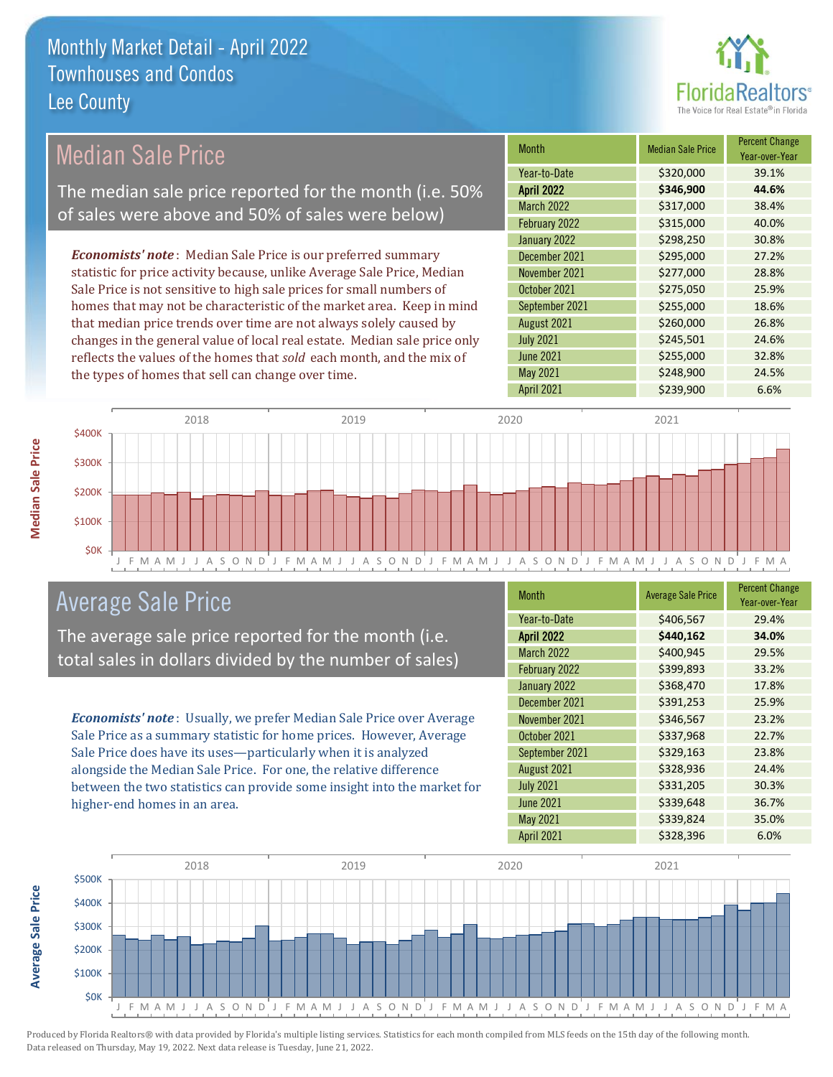

| <b>Median Sale Price</b>                                                  | <b>Month</b>      | <b>Median Sale Price</b> | <b>Percent Change</b><br>Year-over-Year |
|---------------------------------------------------------------------------|-------------------|--------------------------|-----------------------------------------|
|                                                                           | Year-to-Date      | \$320,000                | 39.1%                                   |
| The median sale price reported for the month (i.e. 50%                    | <b>April 2022</b> | \$346,900                | 44.6%                                   |
| of sales were above and 50% of sales were below)                          | <b>March 2022</b> | \$317,000                | 38.4%                                   |
|                                                                           | February 2022     | \$315,000                | 40.0%                                   |
|                                                                           | January 2022      | \$298,250                | 30.8%                                   |
| <b>Economists' note:</b> Median Sale Price is our preferred summary       | December 2021     | \$295,000                | 27.2%                                   |
| statistic for price activity because, unlike Average Sale Price, Median   | November 2021     | \$277,000                | 28.8%                                   |
| Sale Price is not sensitive to high sale prices for small numbers of      | October 2021      | \$275,050                | 25.9%                                   |
| homes that may not be characteristic of the market area. Keep in mind     | September 2021    | \$255,000                | 18.6%                                   |
| that median price trends over time are not always solely caused by        | August 2021       | \$260,000                | 26.8%                                   |
| changes in the general value of local real estate. Median sale price only | <b>July 2021</b>  | \$245,501                | 24.6%                                   |
| reflects the values of the homes that sold each month, and the mix of     | <b>June 2021</b>  | \$255,000                | 32.8%                                   |
| the types of homes that sell can change over time.                        | May 2021          | \$248,900                | 24.5%                                   |
|                                                                           | <b>April 2021</b> | \$239,900                | 6.6%                                    |



## Average Sale Price

The average sale price reported for the month (i.e. total sales in dollars divided by the number of sales)

*Economists' note* : Usually, we prefer Median Sale Price over Average Sale Price as a summary statistic for home prices. However, Average Sale Price does have its uses—particularly when it is analyzed alongside the Median Sale Price. For one, the relative difference between the two statistics can provide some insight into the market for higher-end homes in an area.

| Month             | <b>Average Sale Price</b> | <b>Percent Change</b><br>Year-over-Year |
|-------------------|---------------------------|-----------------------------------------|
| Year-to-Date      | \$406,567                 | 29.4%                                   |
| <b>April 2022</b> | \$440,162                 | 34.0%                                   |
| <b>March 2022</b> | \$400,945                 | 29.5%                                   |
| February 2022     | \$399,893                 | 33.2%                                   |
| January 2022      | \$368,470                 | 17.8%                                   |
| December 2021     | \$391,253                 | 25.9%                                   |
| November 2021     | \$346,567                 | 23.2%                                   |
| October 2021      | \$337,968                 | 22.7%                                   |
| September 2021    | \$329,163                 | 23.8%                                   |
| August 2021       | \$328,936                 | 24.4%                                   |
| <b>July 2021</b>  | \$331,205                 | 30.3%                                   |
| <b>June 2021</b>  | \$339,648                 | 36.7%                                   |
| May 2021          | \$339,824                 | 35.0%                                   |
| April 2021        | \$328,396                 | 6.0%                                    |



Produced by Florida Realtors® with data provided by Florida's multiple listing services. Statistics for each month compiled from MLS feeds on the 15th day of the following month. Data released on Thursday, May 19, 2022. Next data release is Tuesday, June 21, 2022.

**Average Sale Price**

**Average Sale Price**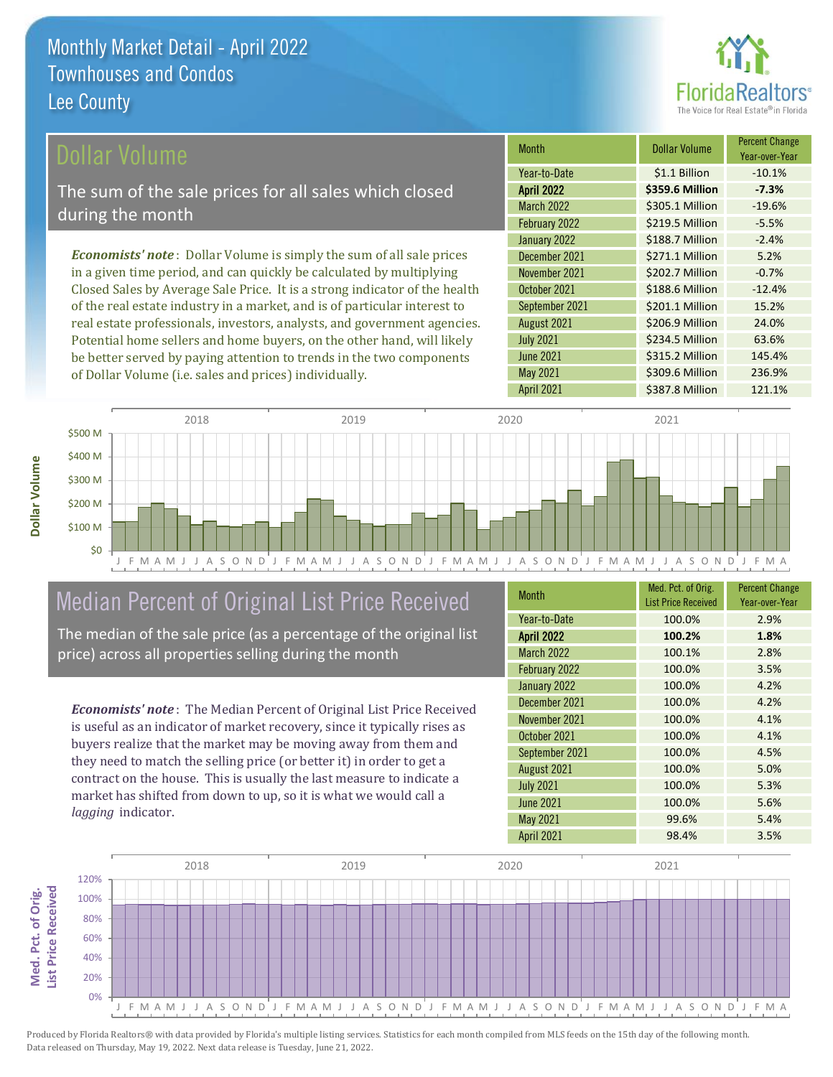

### ollar Volume

The sum of the sale prices for all sales which closed during the month

*Economists' note* : Dollar Volume is simply the sum of all sale prices in a given time period, and can quickly be calculated by multiplying Closed Sales by Average Sale Price. It is a strong indicator of the health of the real estate industry in a market, and is of particular interest to real estate professionals, investors, analysts, and government agencies. Potential home sellers and home buyers, on the other hand, will likely be better served by paying attention to trends in the two components of Dollar Volume (i.e. sales and prices) individually.

| Month             | <b>Dollar Volume</b> | <b>Percent Change</b><br>Year-over-Year |
|-------------------|----------------------|-----------------------------------------|
| Year-to-Date      | \$1.1 Billion        | $-10.1%$                                |
| <b>April 2022</b> | \$359.6 Million      | $-7.3%$                                 |
| <b>March 2022</b> | \$305.1 Million      | $-19.6%$                                |
| February 2022     | \$219.5 Million      | $-5.5%$                                 |
| January 2022      | \$188.7 Million      | $-2.4%$                                 |
| December 2021     | \$271.1 Million      | 5.2%                                    |
| November 2021     | \$202.7 Million      | $-0.7%$                                 |
| October 2021      | \$188.6 Million      | $-12.4%$                                |
| September 2021    | \$201.1 Million      | 15.2%                                   |
| August 2021       | \$206.9 Million      | 24.0%                                   |
| <b>July 2021</b>  | \$234.5 Million      | 63.6%                                   |
| <b>June 2021</b>  | \$315.2 Million      | 145.4%                                  |
| May 2021          | \$309.6 Million      | 236.9%                                  |
| April 2021        | \$387.8 Million      | 121.1%                                  |



## Median Percent of Original List Price Received

The median of the sale price (as a percentage of the original list price) across all properties selling during the month

*Economists' note* : The Median Percent of Original List Price Received is useful as an indicator of market recovery, since it typically rises as buyers realize that the market may be moving away from them and they need to match the selling price (or better it) in order to get a contract on the house. This is usually the last measure to indicate a market has shifted from down to up, so it is what we would call a *lagging* indicator.

| <b>Month</b>      | Med. Pct. of Orig.<br><b>List Price Received</b> | <b>Percent Change</b><br>Year-over-Year |
|-------------------|--------------------------------------------------|-----------------------------------------|
| Year-to-Date      | 100.0%                                           | 2.9%                                    |
| <b>April 2022</b> | 100.2%                                           | 1.8%                                    |
| March 2022        | 100.1%                                           | 2.8%                                    |
| February 2022     | 100.0%                                           | 3.5%                                    |
| January 2022      | 100.0%                                           | 4.2%                                    |
| December 2021     | 100.0%                                           | 4.2%                                    |
| November 2021     | 100.0%                                           | 4.1%                                    |
| October 2021      | 100.0%                                           | 4.1%                                    |
| September 2021    | 100.0%                                           | 4.5%                                    |
| August 2021       | 100.0%                                           | 5.0%                                    |
| <b>July 2021</b>  | 100.0%                                           | 5.3%                                    |
| <b>June 2021</b>  | 100.0%                                           | 5.6%                                    |
| May 2021          | 99.6%                                            | 5.4%                                    |
| <b>April 2021</b> | 98.4%                                            | 3.5%                                    |

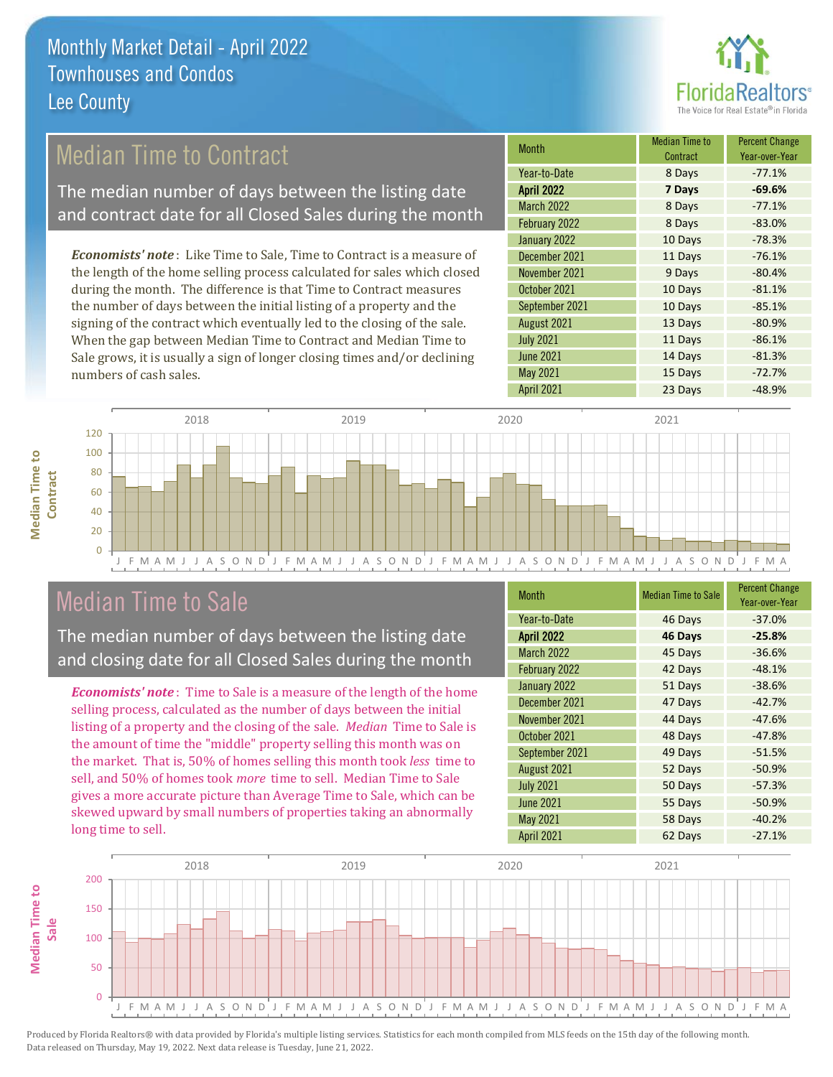

## Median Time to Contract

The median number of days between the listing date and contract date for all Closed Sales during the month

*Economists' note* : Like Time to Sale, Time to Contract is a measure of the length of the home selling process calculated for sales which closed during the month. The difference is that Time to Contract measures the number of days between the initial listing of a property and the signing of the contract which eventually led to the closing of the sale. When the gap between Median Time to Contract and Median Time to Sale grows, it is usually a sign of longer closing times and/or declining numbers of cash sales.

| <b>Month</b>      | <b>Median Time to</b><br>Contract | <b>Percent Change</b><br>Year-over-Year |
|-------------------|-----------------------------------|-----------------------------------------|
| Year-to-Date      | 8 Days                            | $-77.1%$                                |
| <b>April 2022</b> | 7 Days                            | $-69.6%$                                |
| <b>March 2022</b> | 8 Days                            | $-77.1%$                                |
| February 2022     | 8 Days                            | $-83.0%$                                |
| January 2022      | 10 Days                           | $-78.3%$                                |
| December 2021     | 11 Days                           | $-76.1%$                                |
| November 2021     | 9 Days                            | $-80.4%$                                |
| October 2021      | 10 Days                           | $-81.1%$                                |
| September 2021    | 10 Days                           | $-85.1%$                                |
| August 2021       | 13 Days                           | $-80.9%$                                |
| <b>July 2021</b>  | 11 Days                           | $-86.1%$                                |
| <b>June 2021</b>  | 14 Days                           | $-81.3%$                                |
| May 2021          | 15 Days                           | $-72.7%$                                |
| April 2021        | 23 Days                           | $-48.9%$                                |



## Median Time to Sale

**Median Time to** 

**Median Time to** 

The median number of days between the listing date and closing date for all Closed Sales during the month

*Economists' note* : Time to Sale is a measure of the length of the home selling process, calculated as the number of days between the initial listing of a property and the closing of the sale. *Median* Time to Sale is the amount of time the "middle" property selling this month was on the market. That is, 50% of homes selling this month took *less* time to sell, and 50% of homes took *more* time to sell. Median Time to Sale gives a more accurate picture than Average Time to Sale, which can be skewed upward by small numbers of properties taking an abnormally long time to sell.

| <b>Month</b>      | <b>Median Time to Sale</b> | <b>Percent Change</b><br>Year-over-Year |
|-------------------|----------------------------|-----------------------------------------|
| Year-to-Date      | 46 Days                    | $-37.0%$                                |
| <b>April 2022</b> | 46 Days                    | $-25.8%$                                |
| March 2022        | 45 Days                    | $-36.6%$                                |
| February 2022     | 42 Days                    | $-48.1%$                                |
| January 2022      | 51 Days                    | $-38.6%$                                |
| December 2021     | 47 Days                    | $-42.7%$                                |
| November 2021     | 44 Days                    | $-47.6%$                                |
| October 2021      | 48 Days                    | $-47.8%$                                |
| September 2021    | 49 Days                    | $-51.5%$                                |
| August 2021       | 52 Days                    | $-50.9%$                                |
| <b>July 2021</b>  | 50 Days                    | $-57.3%$                                |
| <b>June 2021</b>  | 55 Days                    | $-50.9%$                                |
| <b>May 2021</b>   | 58 Days                    | $-40.2%$                                |
| April 2021        | 62 Days                    | $-27.1%$                                |

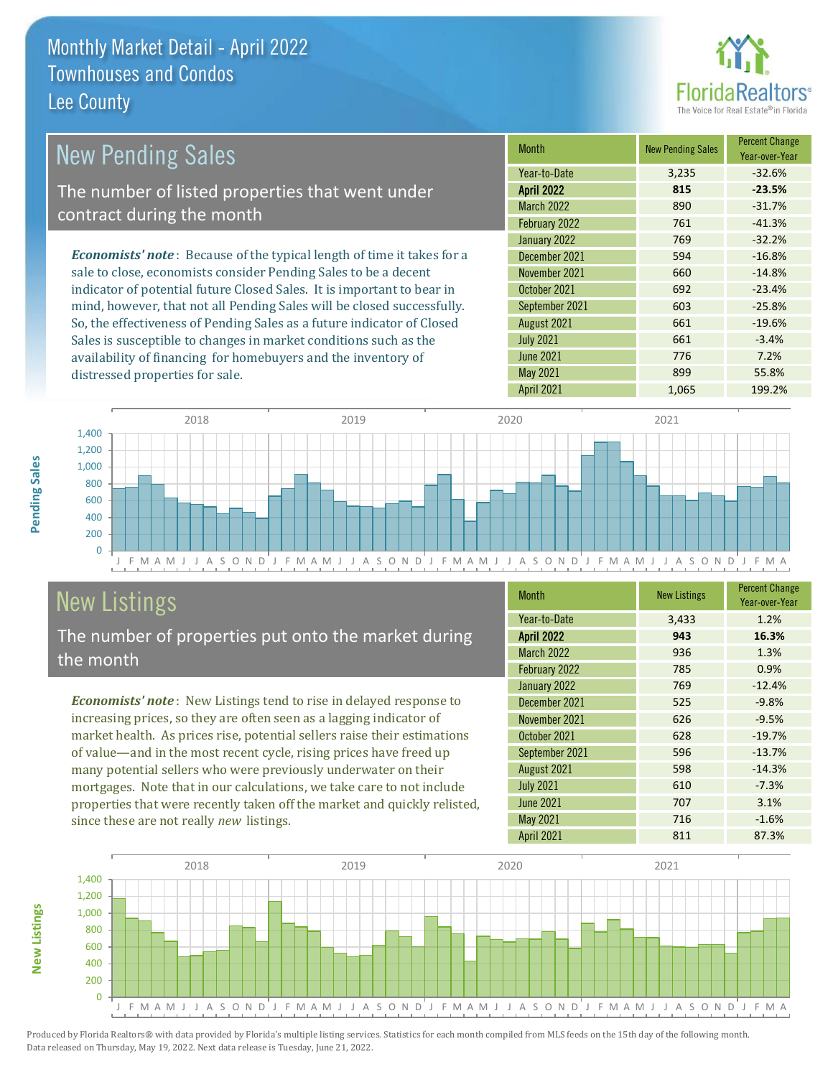distressed properties for sale.



| <b>New Pending Sales</b>                                                       | <b>Month</b>      | <b>New Pending Sales</b> | <b>Percent Change</b><br>Year-over-Year |
|--------------------------------------------------------------------------------|-------------------|--------------------------|-----------------------------------------|
|                                                                                | Year-to-Date      | 3,235                    | $-32.6%$                                |
| The number of listed properties that went under                                | <b>April 2022</b> | 815                      | $-23.5%$                                |
| contract during the month                                                      | <b>March 2022</b> | 890                      | $-31.7%$                                |
|                                                                                | February 2022     | 761                      | $-41.3%$                                |
|                                                                                | January 2022      | 769                      | $-32.2%$                                |
| <b>Economists' note</b> : Because of the typical length of time it takes for a | December 2021     | 594                      | $-16.8%$                                |
| sale to close, economists consider Pending Sales to be a decent                | November 2021     | 660                      | $-14.8%$                                |
| indicator of potential future Closed Sales. It is important to bear in         | October 2021      | 692                      | $-23.4%$                                |
| mind, however, that not all Pending Sales will be closed successfully.         | September 2021    | 603                      | $-25.8%$                                |
| So, the effectiveness of Pending Sales as a future indicator of Closed         | August 2021       | 661                      | $-19.6%$                                |
| Sales is susceptible to changes in market conditions such as the               | <b>July 2021</b>  | 661                      | $-3.4%$                                 |



# New Listings

The number of properties put onto the market during the month

availability of financing for homebuyers and the inventory of

*Economists' note* : New Listings tend to rise in delayed response to increasing prices, so they are often seen as a lagging indicator of market health. As prices rise, potential sellers raise their estimations of value—and in the most recent cycle, rising prices have freed up many potential sellers who were previously underwater on their mortgages. Note that in our calculations, we take care to not include properties that were recently taken off the market and quickly relisted, since these are not really *new* listings.

| <b>Month</b>      | <b>New Listings</b> | <b>Percent Change</b><br>Year-over-Year |
|-------------------|---------------------|-----------------------------------------|
| Year-to-Date      | 3,433               | 1.2%                                    |
| <b>April 2022</b> | 943                 | 16.3%                                   |
| <b>March 2022</b> | 936                 | 1.3%                                    |
| February 2022     | 785                 | 0.9%                                    |
| January 2022      | 769                 | $-12.4%$                                |
| December 2021     | 525                 | $-9.8%$                                 |
| November 2021     | 626                 | $-9.5%$                                 |
| October 2021      | 628                 | $-19.7%$                                |
| September 2021    | 596                 | $-13.7%$                                |
| August 2021       | 598                 | $-14.3%$                                |
| <b>July 2021</b>  | 610                 | $-7.3%$                                 |
| <b>June 2021</b>  | 707                 | 3.1%                                    |
| May 2021          | 716                 | $-1.6%$                                 |
| <b>April 2021</b> | 811                 | 87.3%                                   |

April 2021 1,065 199.2%

June 2021 **776** 7.2% May 2021 899 55.8%



Produced by Florida Realtors® with data provided by Florida's multiple listing services. Statistics for each month compiled from MLS feeds on the 15th day of the following month. Data released on Thursday, May 19, 2022. Next data release is Tuesday, June 21, 2022.

**New Listings**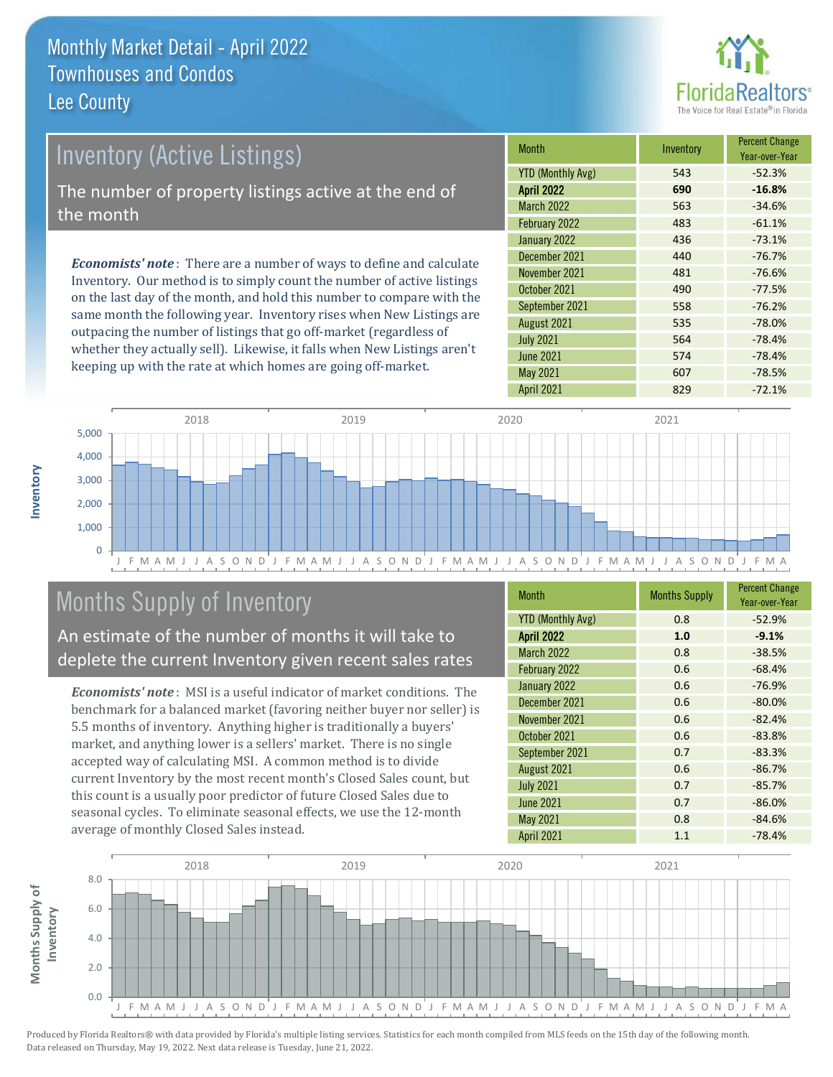

# *Economists' note* : There are a number of ways to define and calculate Inventory (Active Listings) The number of property listings active at the end of the month

Inventory. Our method is to simply count the number of active listings on the last day of the month, and hold this number to compare with the same month the following year. Inventory rises when New Listings are outpacing the number of listings that go off-market (regardless of whether they actually sell). Likewise, it falls when New Listings aren't keeping up with the rate at which homes are going off-market.

| <b>Month</b>             | Inventory | <b>Percent Change</b><br>Year-over-Year |
|--------------------------|-----------|-----------------------------------------|
| <b>YTD (Monthly Avg)</b> | 543       | $-52.3%$                                |
| <b>April 2022</b>        | 690       | $-16.8%$                                |
| <b>March 2022</b>        | 563       | $-34.6%$                                |
| February 2022            | 483       | $-61.1%$                                |
| January 2022             | 436       | $-73.1%$                                |
| December 2021            | 440       | $-76.7%$                                |
| November 2021            | 481       | $-76.6%$                                |
| October 2021             | 490       | $-77.5%$                                |
| September 2021           | 558       | $-76.2%$                                |
| August 2021              | 535       | $-78.0%$                                |
| <b>July 2021</b>         | 564       | $-78.4%$                                |
| <b>June 2021</b>         | 574       | $-78.4%$                                |
| <b>May 2021</b>          | 607       | $-78.5%$                                |
| <b>April 2021</b>        | 829       | $-72.1%$                                |



## Months Supply of Inventory

An estimate of the number of months it will take to deplete the current Inventory given recent sales rates

*Economists' note* : MSI is a useful indicator of market conditions. The benchmark for a balanced market (favoring neither buyer nor seller) is 5.5 months of inventory. Anything higher is traditionally a buyers' market, and anything lower is a sellers' market. There is no single accepted way of calculating MSI. A common method is to divide current Inventory by the most recent month's Closed Sales count, but this count is a usually poor predictor of future Closed Sales due to seasonal cycles. To eliminate seasonal effects, we use the 12-month average of monthly Closed Sales instead.

| <b>Month</b>             | <b>Months Supply</b> | <b>Percent Change</b><br>Year-over-Year |
|--------------------------|----------------------|-----------------------------------------|
| <b>YTD (Monthly Avg)</b> | 0.8                  | $-52.9%$                                |
| <b>April 2022</b>        | 1.0                  | $-9.1%$                                 |
| <b>March 2022</b>        | 0.8                  | $-38.5%$                                |
| February 2022            | 0.6                  | $-68.4%$                                |
| January 2022             | 0.6                  | $-76.9%$                                |
| December 2021            | 0.6                  | $-80.0%$                                |
| November 2021            | 0.6                  | $-82.4%$                                |
| October 2021             | 0.6                  | $-83.8%$                                |
| September 2021           | 0.7                  | $-83.3%$                                |
| August 2021              | 0.6                  | $-86.7%$                                |
| <b>July 2021</b>         | 0.7                  | $-85.7%$                                |
| <b>June 2021</b>         | 0.7                  | $-86.0%$                                |
| May 2021                 | 0.8                  | $-84.6%$                                |
| <b>April 2021</b>        | 1.1                  | $-78.4%$                                |

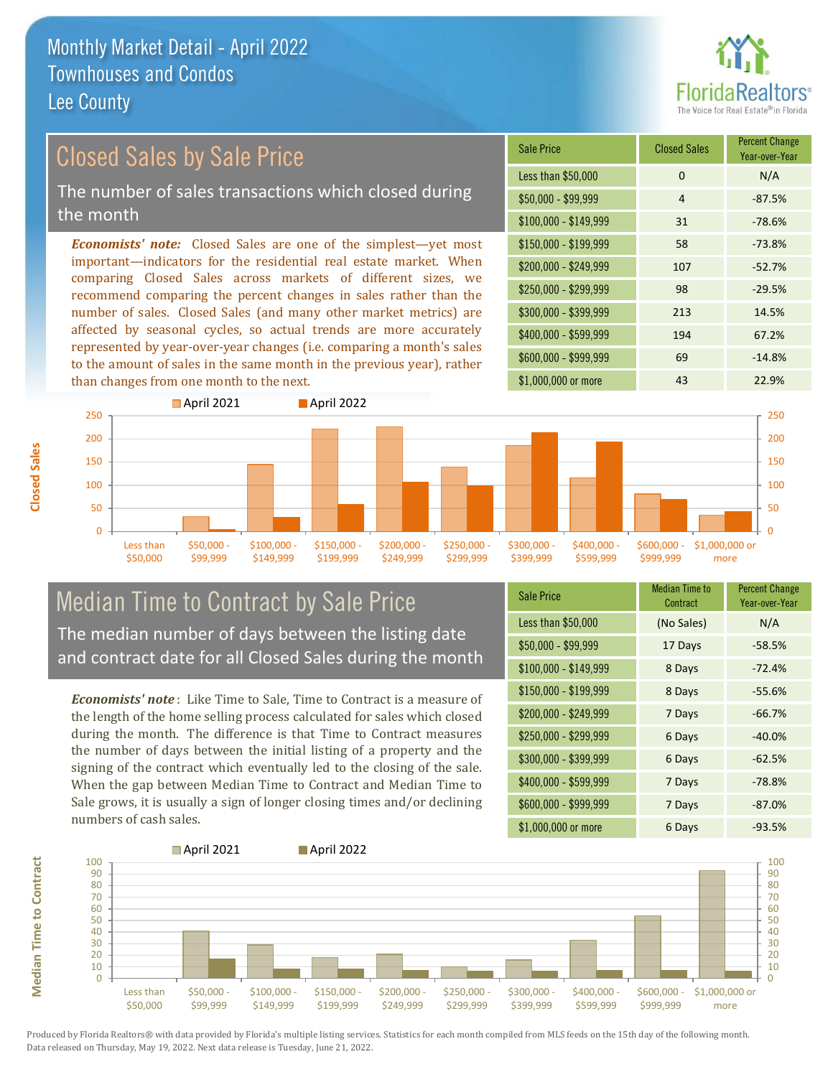

Year-over-Year

#### \$100,000 - \$149,999 31 -78.6% Sale Price Closed Sales Percent Change Less than \$50,000 0 0 N/A  $$50,000 - $99,999$  4 -87.5% \$150,000 - \$199,999 58 -73.8% \$200,000 - \$249,999 107 -52.7% \$400,000 - \$599,999 194 67.2% \$600,000 - \$999,999 69 -14.8% *Economists' note:* Closed Sales are one of the simplest—yet most important—indicators for the residential real estate market. When comparing Closed Sales across markets of different sizes, we recommend comparing the percent changes in sales rather than the number of sales. Closed Sales (and many other market metrics) are affected by seasonal cycles, so actual trends are more accurately represented by year-over-year changes (i.e. comparing a month's sales to the amount of sales in the same month in the previous year), rather  $$250,000 - $299,999$  98 -29.5% \$300,000 - \$399,999 213 14.5% Closed Sales by Sale Price The number of sales transactions which closed during the month



### Median Time to Contract by Sale Price The median number of days between the listing date and contract date for all Closed Sales during the month

*Economists' note* : Like Time to Sale, Time to Contract is a measure of the length of the home selling process calculated for sales which closed during the month. The difference is that Time to Contract measures the number of days between the initial listing of a property and the signing of the contract which eventually led to the closing of the sale. When the gap between Median Time to Contract and Median Time to Sale grows, it is usually a sign of longer closing times and/or declining numbers of cash sales.

| <b>Sale Price</b>     | <b>Median Time to</b><br>Contract | <b>Percent Change</b><br>Year-over-Year |
|-----------------------|-----------------------------------|-----------------------------------------|
| Less than \$50,000    | (No Sales)                        | N/A                                     |
| $$50,000 - $99,999$   | 17 Days                           | $-58.5%$                                |
| $$100,000 - $149,999$ | 8 Days                            | $-72.4%$                                |
| \$150,000 - \$199,999 | 8 Days                            | $-55.6%$                                |
| \$200,000 - \$249,999 | 7 Days                            | $-66.7%$                                |
| \$250,000 - \$299,999 | 6 Days                            | $-40.0%$                                |
| \$300,000 - \$399,999 | 6 Days                            | $-62.5%$                                |
| \$400,000 - \$599,999 | 7 Days                            | $-78.8%$                                |
| \$600,000 - \$999,999 | 7 Days                            | $-87.0%$                                |
| \$1,000,000 or more   | 6 Days                            | $-93.5%$                                |



Produced by Florida Realtors® with data provided by Florida's multiple listing services. Statistics for each month compiled from MLS feeds on the 15th day of the following month. Data released on Thursday, May 19, 2022. Next data release is Tuesday, June 21, 2022.

**Median Time to Contract**

**Median Time to Contract**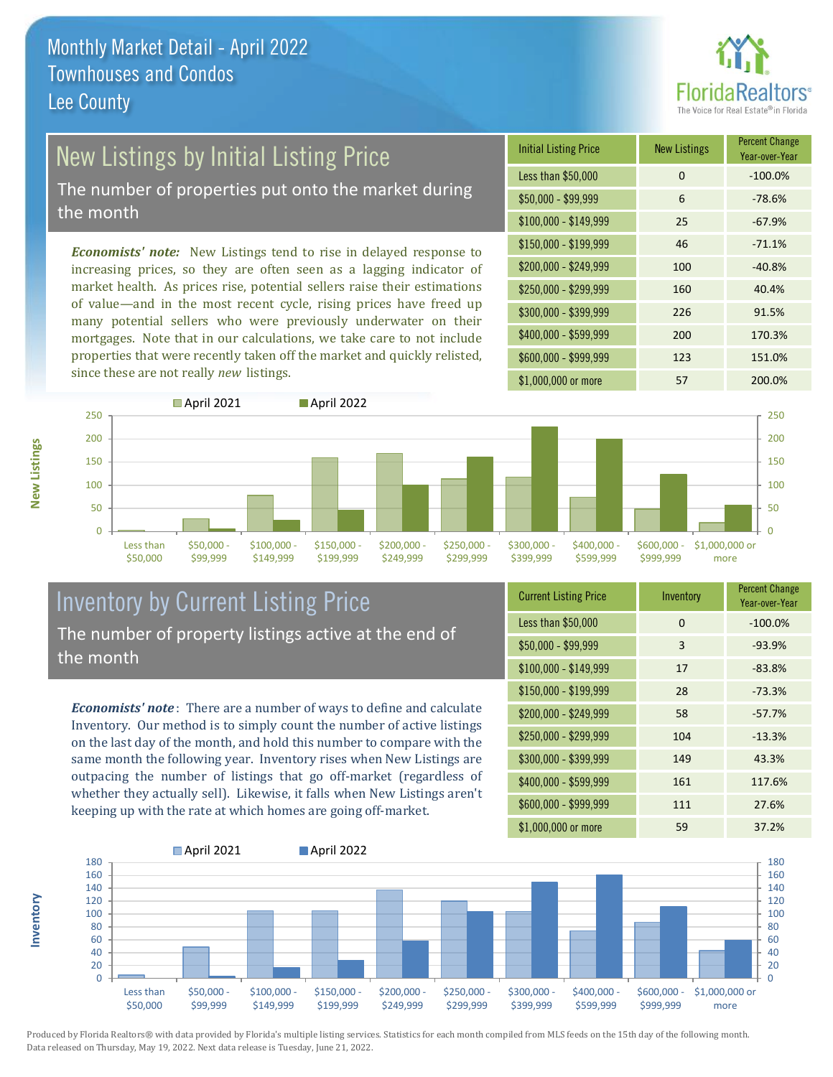

# New Listings by Initial Listing Price

The number of properties put onto the market during the month

*Economists' note:* New Listings tend to rise in delayed response to increasing prices, so they are often seen as a lagging indicator of market health. As prices rise, potential sellers raise their estimations of value—and in the most recent cycle, rising prices have freed up many potential sellers who were previously underwater on their mortgages. Note that in our calculations, we take care to not include properties that were recently taken off the market and quickly relisted, since these are not really *new* listings.

| <b>Initial Listing Price</b> | <b>New Listings</b> | <b>Percent Change</b><br>Year-over-Year |
|------------------------------|---------------------|-----------------------------------------|
| Less than \$50,000           | 0                   | $-100.0%$                               |
| $$50,000 - $99,999$          | 6                   | $-78.6%$                                |
| $$100,000 - $149,999$        | 25                  | $-67.9%$                                |
| $$150,000 - $199,999$        | 46                  | $-71.1%$                                |
| \$200,000 - \$249,999        | 100                 | $-40.8%$                                |
| $$250,000 - $299,999$        | 160                 | 40.4%                                   |
| \$300,000 - \$399,999        | 226                 | 91.5%                                   |
| \$400,000 - \$599,999        | 200                 | 170.3%                                  |
| \$600,000 - \$999,999        | 123                 | 151.0%                                  |
| \$1,000,000 or more          | 57                  | 200.0%                                  |



#### Inventory by Current Listing Price The number of property listings active at the end of the month

*Economists' note* : There are a number of ways to define and calculate Inventory. Our method is to simply count the number of active listings on the last day of the month, and hold this number to compare with the same month the following year. Inventory rises when New Listings are outpacing the number of listings that go off-market (regardless of whether they actually sell). Likewise, it falls when New Listings aren't keeping up with the rate at which homes are going off-market.

| <b>Current Listing Price</b> | Inventory | <b>Percent Change</b><br>Year-over-Year |
|------------------------------|-----------|-----------------------------------------|
| Less than \$50,000           | $\Omega$  | $-100.0%$                               |
| $$50,000 - $99,999$          | 3         | $-93.9%$                                |
| $$100,000 - $149,999$        | 17        | $-83.8%$                                |
| $$150,000 - $199,999$        | 28        | $-73.3%$                                |
| \$200,000 - \$249,999        | 58        | $-57.7%$                                |
| \$250,000 - \$299,999        | 104       | $-13.3%$                                |
| \$300,000 - \$399,999        | 149       | 43.3%                                   |
| \$400,000 - \$599,999        | 161       | 117.6%                                  |
| \$600,000 - \$999,999        | 111       | 27.6%                                   |
| \$1,000,000 or more          | 59        | 37.2%                                   |



Produced by Florida Realtors® with data provided by Florida's multiple listing services. Statistics for each month compiled from MLS feeds on the 15th day of the following month. Data released on Thursday, May 19, 2022. Next data release is Tuesday, June 21, 2022.

**Inventory**